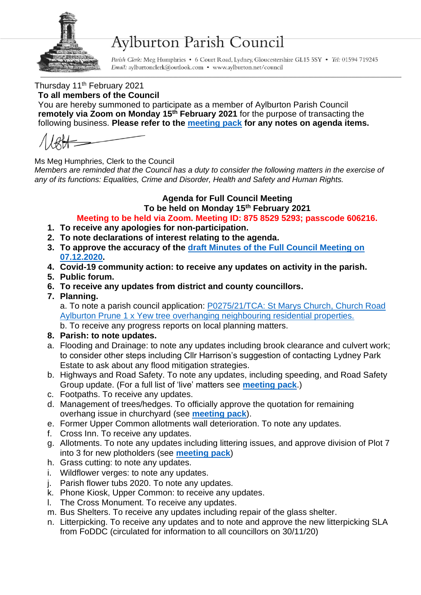

## **Aylburton Parish Council**

Parish Clerk: Meg Humphries • 6 Court Road, Lydney, Gloucestershire GL15 5SY • Tel: 01594 719245 Email: aylburtonclerk@outlook.com • www.aylburton.net/council

Thursday 11<sup>th</sup> February 2021

**To all members of the Council**

You are hereby summoned to participate as a member of Aylburton Parish Council **remotely via Zoom on Monday 15th February 2021** for the purpose of transacting the following business. **Please refer to the [meeting pack](http://aylburton.net/wp-content/uploads/2021/02/210215-Meeting-Pack-February-2021-Full-Council-15.02.2020.pdf) for any notes on agenda items.**

Ms Meg Humphries, Clerk to the Council

*Members are reminded that the Council has a duty to consider the following matters in the exercise of any of its functions: Equalities, Crime and Disorder, Health and Safety and Human Rights.*

## **Agenda for Full Council Meeting**

**To be held on Monday 15th February 2021**

**Meeting to be held via Zoom. Meeting ID: 875 8529 5293; passcode 606216.**

- **1. To receive any apologies for non-participation.**
- **2. To note declarations of interest relating to the agenda.**
- **3. To approve the accuracy of the draft [Minutes of the Full Council Meeting on](http://aylburton.net/wp-content/uploads/2021/01/201207-DRAFT-Minutes-Full-Council-Meeting-07.12.20.pdf)  [07.12.2020.](http://aylburton.net/wp-content/uploads/2021/01/201207-DRAFT-Minutes-Full-Council-Meeting-07.12.20.pdf)**
- **4. Covid-19 community action: to receive any updates on activity in the parish.**
- **5. Public forum.**
- **6. To receive any updates from district and county councillors.**
- **7. Planning.**

a. To note a parish council application: [P0275/21/TCA: St Marys Church,](http://publicaccess.fdean.gov.uk/online-applications/applicationDetails.do?activeTab=summary&keyVal=QO27MYHIGYH00) Church Road [Aylburton Prune 1 x Yew tree overhanging neighbouring residential properties.](http://publicaccess.fdean.gov.uk/online-applications/applicationDetails.do?activeTab=summary&keyVal=QO27MYHIGYH00) b. To receive any progress reports on local planning matters.

- **8. Parish: to note updates.**
- a. Flooding and Drainage: to note any updates including brook clearance and culvert work; to consider other steps including Cllr Harrison's suggestion of contacting Lydney Park Estate to ask about any flood mitigation strategies.
- b. Highways and Road Safety. To note any updates, including speeding, and Road Safety Group update. (For a full list of 'live' matters see **[meeting pack](http://aylburton.net/wp-content/uploads/2021/02/210215-Meeting-Pack-February-2021-Full-Council-15.02.2020.pdf)**.)
- c. Footpaths. To receive any updates.
- d. Management of trees/hedges. To officially approve the quotation for remaining overhang issue in churchyard (see **[meeting pack](http://aylburton.net/wp-content/uploads/2021/02/210215-Meeting-Pack-February-2021-Full-Council-15.02.2020.pdf)**).
- e. Former Upper Common allotments wall deterioration. To note any updates.
- f. Cross Inn. To receive any updates.
- g. Allotments. To note any updates including littering issues, and approve division of Plot 7 into 3 for new plotholders (see **[meeting pack](http://aylburton.net/wp-content/uploads/2021/02/210215-Meeting-Pack-February-2021-Full-Council-15.02.2020.pdf)**)
- h. Grass cutting: to note any updates.
- i. Wildflower verges: to note any updates.
- j. Parish flower tubs 2020. To note any updates.
- k. Phone Kiosk, Upper Common: to receive any updates.
- l. The Cross Monument. To receive any updates.
- m. Bus Shelters. To receive any updates including repair of the glass shelter.
- n. Litterpicking. To receive any updates and to note and approve the new litterpicking SLA from FoDDC (circulated for information to all councillors on 30/11/20)